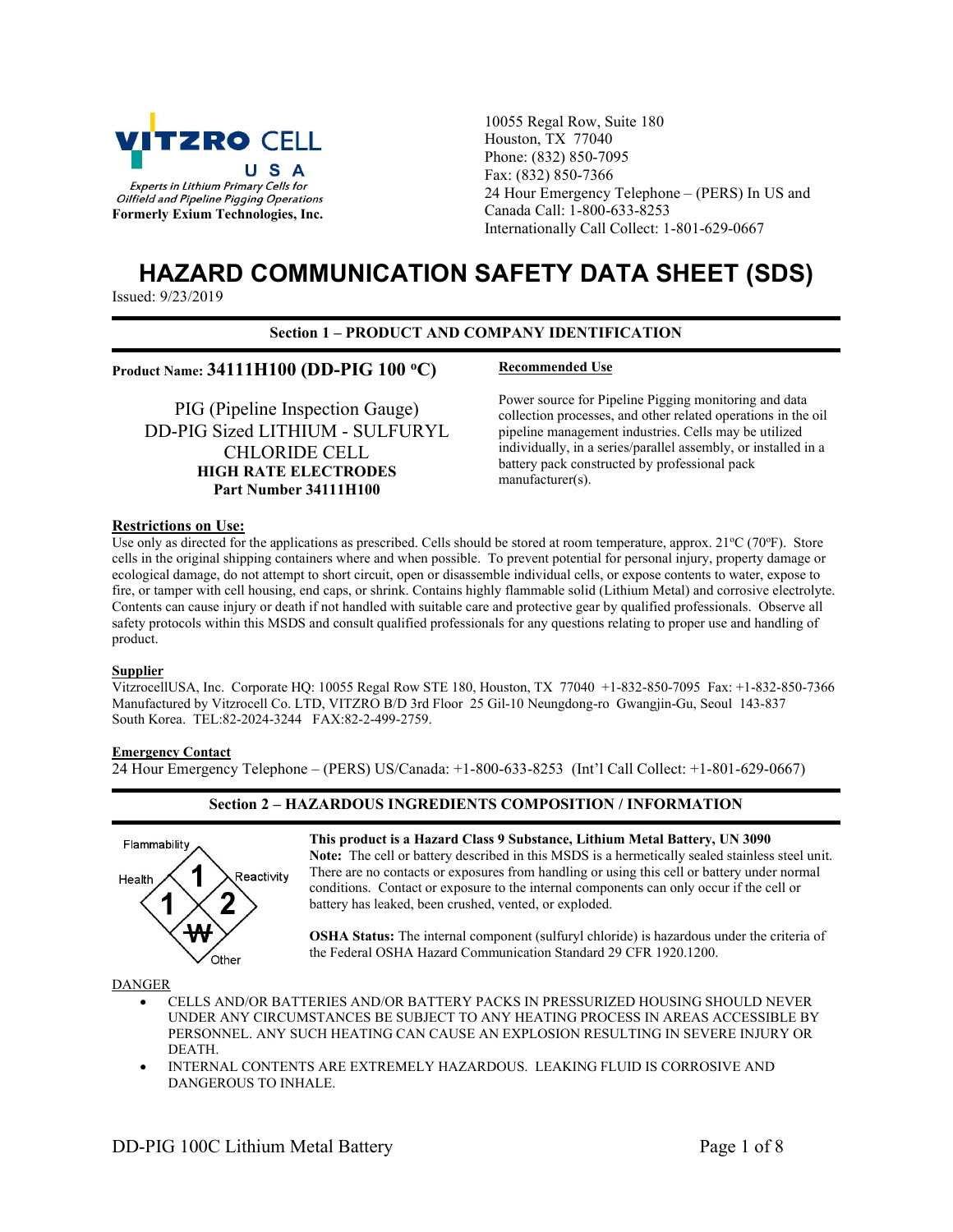

10055 Regal Row, Suite 180 Houston, TX 77040 Phone: (832) 850-7095 Fax: (832) 850-7366 24 Hour Emergency Telephone – (PERS) In US and Canada Call: 1-800-633-8253 Internationally Call Collect: 1-801-629-0667

# HAZARD COMMUNICATION SAFETY DATA SHEET (SDS)

Issued: 9/23/2019

# Section 1 – PRODUCT AND COMPANY IDENTIFICATION

# Product Name: 34111H100 (DD-PIG 100 °C) Recommended Use

PIG (Pipeline Inspection Gauge) DD-PIG Sized LITHIUM - SULFURYL CHLORIDE CELL HIGH RATE ELECTRODES Part Number 34111H100

Power source for Pipeline Pigging monitoring and data collection processes, and other related operations in the oil pipeline management industries. Cells may be utilized individually, in a series/parallel assembly, or installed in a battery pack constructed by professional pack manufacturer(s).

# Restrictions on Use:

Use only as directed for the applications as prescribed. Cells should be stored at room temperature, approx.  $21^{\circ}C(70^{\circ}F)$ . Store cells in the original shipping containers where and when possible. To prevent potential for personal injury, property damage or ecological damage, do not attempt to short circuit, open or disassemble individual cells, or expose contents to water, expose to fire, or tamper with cell housing, end caps, or shrink. Contains highly flammable solid (Lithium Metal) and corrosive electrolyte. Contents can cause injury or death if not handled with suitable care and protective gear by qualified professionals. Observe all safety protocols within this MSDS and consult qualified professionals for any questions relating to proper use and handling of product.

# **Supplier**

VitzrocellUSA, Inc. Corporate HQ: 10055 Regal Row STE 180, Houston, TX 77040 +1-832-850-7095 Fax: +1-832-850-7366 Manufactured by Vitzrocell Co. LTD, VITZRO B/D 3rd Floor 25 Gil-10 Neungdong-ro Gwangjin-Gu, Seoul 143-837 South Korea. TEL:82-2024-3244 FAX:82-2-499-2759.

# Emergency Contact

24 Hour Emergency Telephone – (PERS) US/Canada: +1-800-633-8253 (Int'l Call Collect: +1-801-629-0667)

# Section 2 – HAZARDOUS INGREDIENTS COMPOSITION / INFORMATION



This product is a Hazard Class 9 Substance, Lithium Metal Battery, UN 3090 Note: The cell or battery described in this MSDS is a hermetically sealed stainless steel unit. There are no contacts or exposures from handling or using this cell or battery under normal conditions. Contact or exposure to the internal components can only occur if the cell or battery has leaked, been crushed, vented, or exploded.

OSHA Status: The internal component (sulfuryl chloride) is hazardous under the criteria of the Federal OSHA Hazard Communication Standard 29 CFR 1920.1200.

#### DANGER

- CELLS AND/OR BATTERIES AND/OR BATTERY PACKS IN PRESSURIZED HOUSING SHOULD NEVER UNDER ANY CIRCUMSTANCES BE SUBJECT TO ANY HEATING PROCESS IN AREAS ACCESSIBLE BY PERSONNEL. ANY SUCH HEATING CAN CAUSE AN EXPLOSION RESULTING IN SEVERE INJURY OR DEATH.
- INTERNAL CONTENTS ARE EXTREMELY HAZARDOUS. LEAKING FLUID IS CORROSIVE AND DANGEROUS TO INHALE.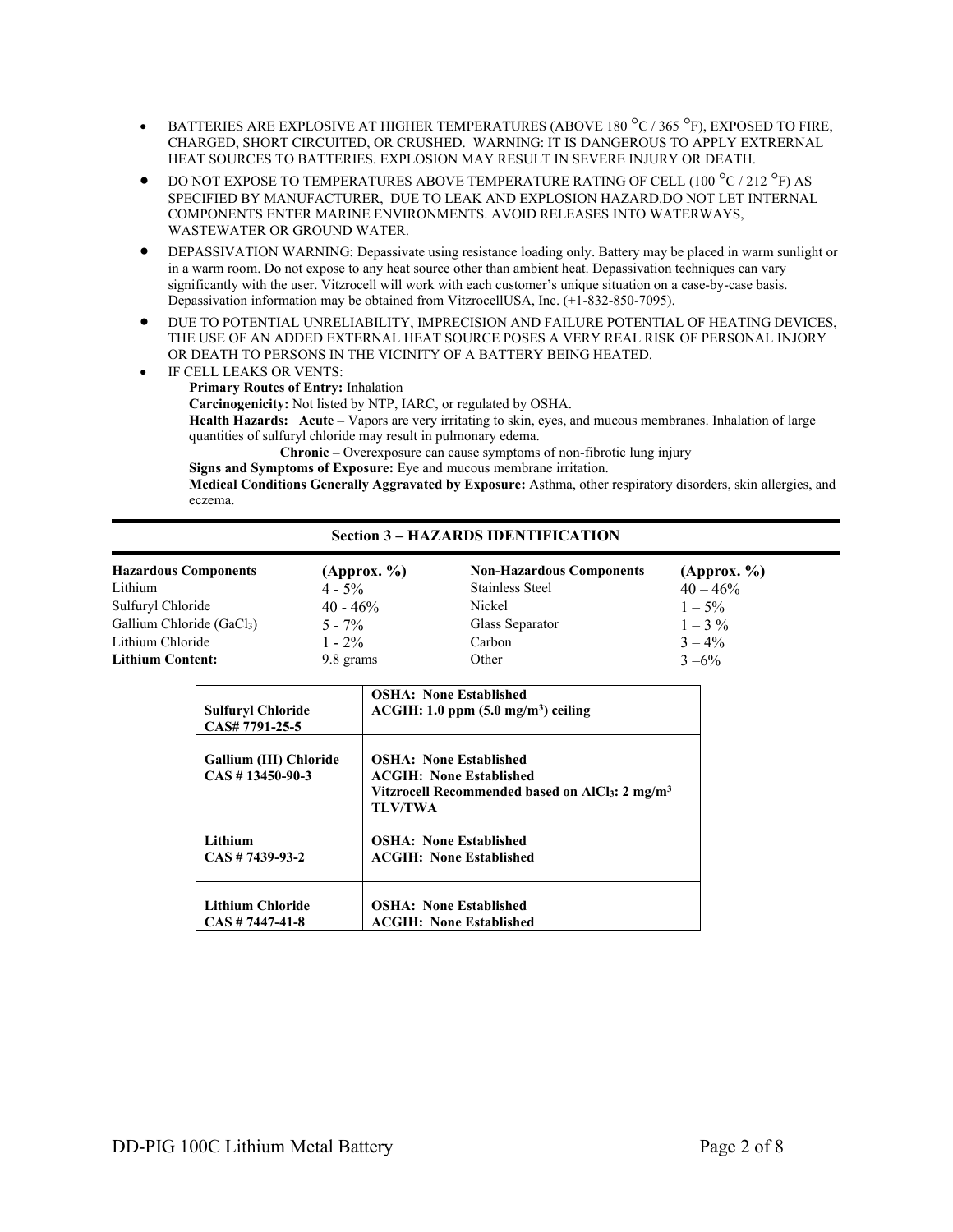- **BATTERIES ARE EXPLOSIVE AT HIGHER TEMPERATURES (ABOVE 180 °C / 365 °F), EXPOSED TO FIRE,** CHARGED, SHORT CIRCUITED, OR CRUSHED. WARNING: IT IS DANGEROUS TO APPLY EXTRERNAL HEAT SOURCES TO BATTERIES. EXPLOSION MAY RESULT IN SEVERE INJURY OR DEATH.
- DO NOT EXPOSE TO TEMPERATURES ABOVE TEMPERATURE RATING OF CELL (100  $^{\circ}$ C / 212  $^{\circ}$ F) AS SPECIFIED BY MANUFACTURER, DUE TO LEAK AND EXPLOSION HAZARD.DO NOT LET INTERNAL COMPONENTS ENTER MARINE ENVIRONMENTS. AVOID RELEASES INTO WATERWAYS, WASTEWATER OR GROUND WATER.
- DEPASSIVATION WARNING: Depassivate using resistance loading only. Battery may be placed in warm sunlight or in a warm room. Do not expose to any heat source other than ambient heat. Depassivation techniques can vary significantly with the user. Vitzrocell will work with each customer's unique situation on a case-by-case basis. Depassivation information may be obtained from VitzrocellUSA, Inc. (+1-832-850-7095).
- $\bullet$  DUE TO POTENTIAL UNRELIABILITY, IMPRECISION AND FAILURE POTENTIAL OF HEATING DEVICES, THE USE OF AN ADDED EXTERNAL HEAT SOURCE POSES A VERY REAL RISK OF PERSONAL INJORY OR DEATH TO PERSONS IN THE VICINITY OF A BATTERY BEING HEATED.
- IF CELL LEAKS OR VENTS: Primary Routes of Entry: Inhalation Carcinogenicity: Not listed by NTP, IARC, or regulated by OSHA. Health Hazards: Acute – Vapors are very irritating to skin, eyes, and mucous membranes. Inhalation of large quantities of sulfuryl chloride may result in pulmonary edema. Chronic – Overexposure can cause symptoms of non-fibrotic lung injury Signs and Symptoms of Exposure: Eye and mucous membrane irritation.

Medical Conditions Generally Aggravated by Exposure: Asthma, other respiratory disorders, skin allergies, and eczema.

# Section 3 – HAZARDS IDENTIFICATION

| <b>Hazardous Components</b> | (Approx. % | <b>Non-Hazardous Components</b> | (Approx. %  |
|-----------------------------|------------|---------------------------------|-------------|
| Lithium                     | $4 - 5\%$  | <b>Stainless Steel</b>          | $40 - 46\%$ |
| Sulfuryl Chloride           | $40 - 46%$ | Nickel                          | $1 - 5\%$   |
| Gallium Chloride (GaCl3)    | $5 - 7\%$  | Glass Separator                 | $1 - 3\%$   |
| Lithium Chloride            | $1 - 2\%$  | Carbon                          | $3 - 4\%$   |
| <b>Lithium Content:</b>     | 9.8 grams  | Other                           | $3 - 6\%$   |

| <b>Sulfuryl Chloride</b>                      | <b>OSHA: None Established</b>                                                                                                                         |
|-----------------------------------------------|-------------------------------------------------------------------------------------------------------------------------------------------------------|
| CAS# 7791-25-5                                | $ACGIH: 1.0$ ppm $(5.0$ mg/m <sup>3</sup> ) ceiling                                                                                                   |
| Gallium (III) Chloride<br>$CAS \# 13450-90-3$ | <b>OSHA: None Established</b><br><b>ACGIH: None Established</b><br>Vitzrocell Recommended based on AlCl <sub>3</sub> : 2 mg/m <sup>3</sup><br>TLV/TWA |
| Lithium                                       | <b>OSHA: None Established</b>                                                                                                                         |
| $CAS \# 7439-93-2$                            | <b>ACGIH: None Established</b>                                                                                                                        |
| <b>Lithium Chloride</b>                       | <b>OSHA: None Established</b>                                                                                                                         |
| $CAS \# 7447 - 41 - 8$                        | <b>ACGIH: None Established</b>                                                                                                                        |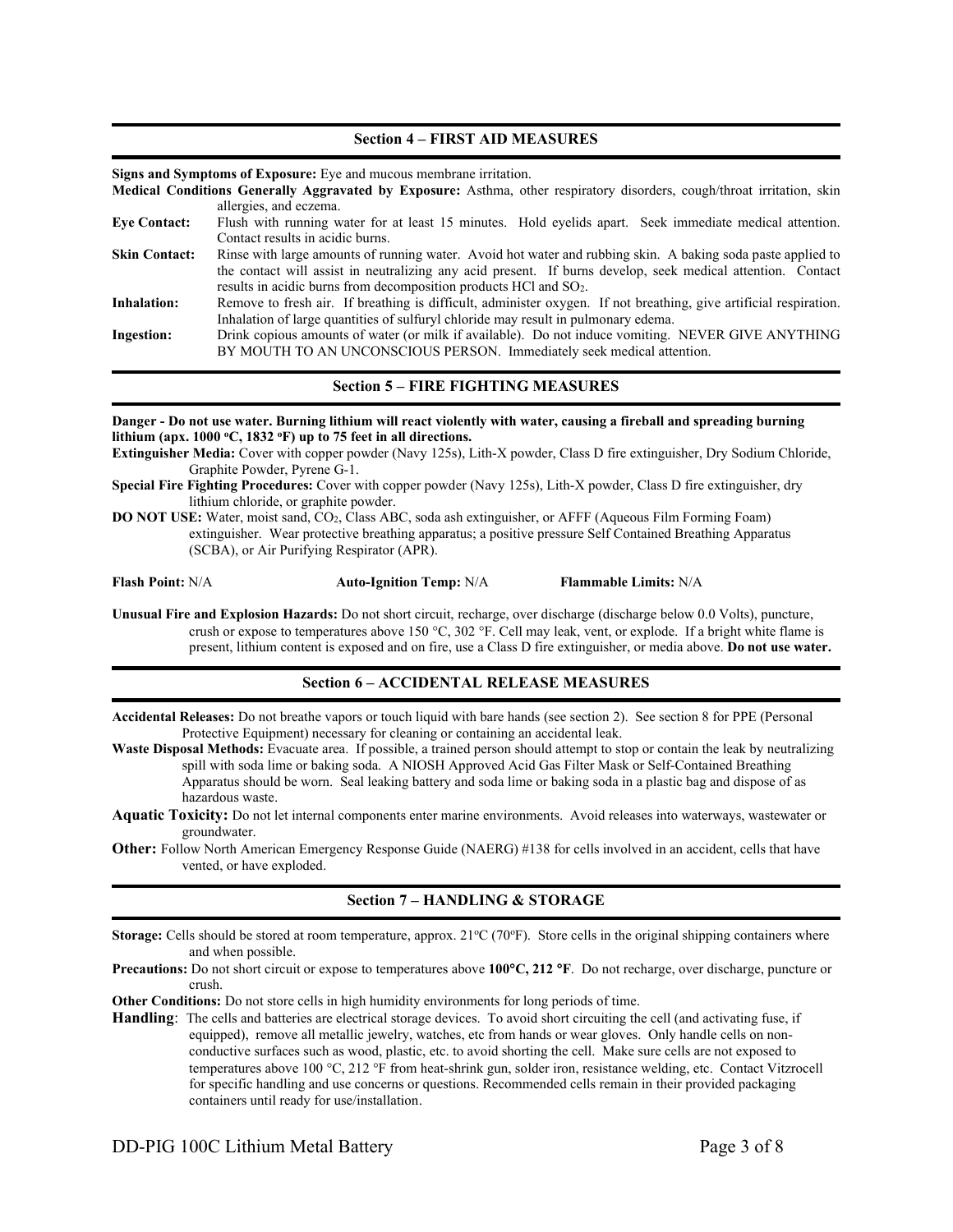#### Section 4 – FIRST AID MEASURES

Signs and Symptoms of Exposure: Eye and mucous membrane irritation.

Medical Conditions Generally Aggravated by Exposure: Asthma, other respiratory disorders, cough/throat irritation, skin allergies, and eczema.

| <b>Eye Contact:</b>  | Flush with running water for at least 15 minutes. Hold eyelids apart. Seek immediate medical attention.           |
|----------------------|-------------------------------------------------------------------------------------------------------------------|
|                      | Contact results in acidic burns.                                                                                  |
| <b>Skin Contact:</b> | Rinse with large amounts of running water. Avoid hot water and rubbing skin. A baking soda paste applied to       |
|                      | the contact will assist in neutralizing any acid present. If burns develop, seek medical attention. Contact       |
|                      | results in acidic burns from decomposition products HCl and SO <sub>2</sub> .                                     |
| <b>Inhalation:</b>   | Remove to fresh air. If breathing is difficult, administer oxygen. If not breathing, give artificial respiration. |
|                      | Inhalation of large quantities of sulfuryl chloride may result in pulmonary edema.                                |
| <b>Ingestion:</b>    | Drink copious amounts of water (or milk if available). Do not induce vomiting. NEVER GIVE ANYTHING                |
|                      | BY MOUTH TO AN UNCONSCIOUS PERSON. Immediately seek medical attention.                                            |

# Section 5 – FIRE FIGHTING MEASURES

Danger - Do not use water. Burning lithium will react violently with water, causing a fireball and spreading burning lithium (apx.  $1000 °C$ ,  $1832 °F$ ) up to 75 feet in all directions.

Extinguisher Media: Cover with copper powder (Navy 125s), Lith-X powder, Class D fire extinguisher, Dry Sodium Chloride, Graphite Powder, Pyrene G-1.

Special Fire Fighting Procedures: Cover with copper powder (Navy 125s), Lith-X powder, Class D fire extinguisher, dry lithium chloride, or graphite powder.

DO NOT USE: Water, moist sand, CO2, Class ABC, soda ash extinguisher, or AFFF (Aqueous Film Forming Foam) extinguisher. Wear protective breathing apparatus; a positive pressure Self Contained Breathing Apparatus (SCBA), or Air Purifying Respirator (APR).

Flash Point: N/A **Auto-Ignition Temp: N/A** Flammable Limits: N/A

Unusual Fire and Explosion Hazards: Do not short circuit, recharge, over discharge (discharge below 0.0 Volts), puncture, crush or expose to temperatures above 150 °C, 302 °F. Cell may leak, vent, or explode. If a bright white flame is present, lithium content is exposed and on fire, use a Class D fire extinguisher, or media above. Do not use water.

# Section 6 – ACCIDENTAL RELEASE MEASURES

Accidental Releases: Do not breathe vapors or touch liquid with bare hands (see section 2). See section 8 for PPE (Personal Protective Equipment) necessary for cleaning or containing an accidental leak.

Waste Disposal Methods: Evacuate area. If possible, a trained person should attempt to stop or contain the leak by neutralizing spill with soda lime or baking soda. A NIOSH Approved Acid Gas Filter Mask or Self-Contained Breathing Apparatus should be worn. Seal leaking battery and soda lime or baking soda in a plastic bag and dispose of as hazardous waste.

Aquatic Toxicity: Do not let internal components enter marine environments. Avoid releases into waterways, wastewater or groundwater.

Other: Follow North American Emergency Response Guide (NAERG) #138 for cells involved in an accident, cells that have vented, or have exploded.

# Section 7 – HANDLING & STORAGE

Storage: Cells should be stored at room temperature, approx. 21°C (70°F). Store cells in the original shipping containers where and when possible.

**Precautions:** Do not short circuit or expose to temperatures above  $100^{\circ}C$ ,  $212^{\circ}F$ . Do not recharge, over discharge, puncture or crush.

Other Conditions: Do not store cells in high humidity environments for long periods of time.

Handling: The cells and batteries are electrical storage devices. To avoid short circuiting the cell (and activating fuse, if equipped), remove all metallic jewelry, watches, etc from hands or wear gloves. Only handle cells on nonconductive surfaces such as wood, plastic, etc. to avoid shorting the cell. Make sure cells are not exposed to temperatures above 100 °C, 212 °F from heat-shrink gun, solder iron, resistance welding, etc. Contact Vitzrocell for specific handling and use concerns or questions. Recommended cells remain in their provided packaging containers until ready for use/installation.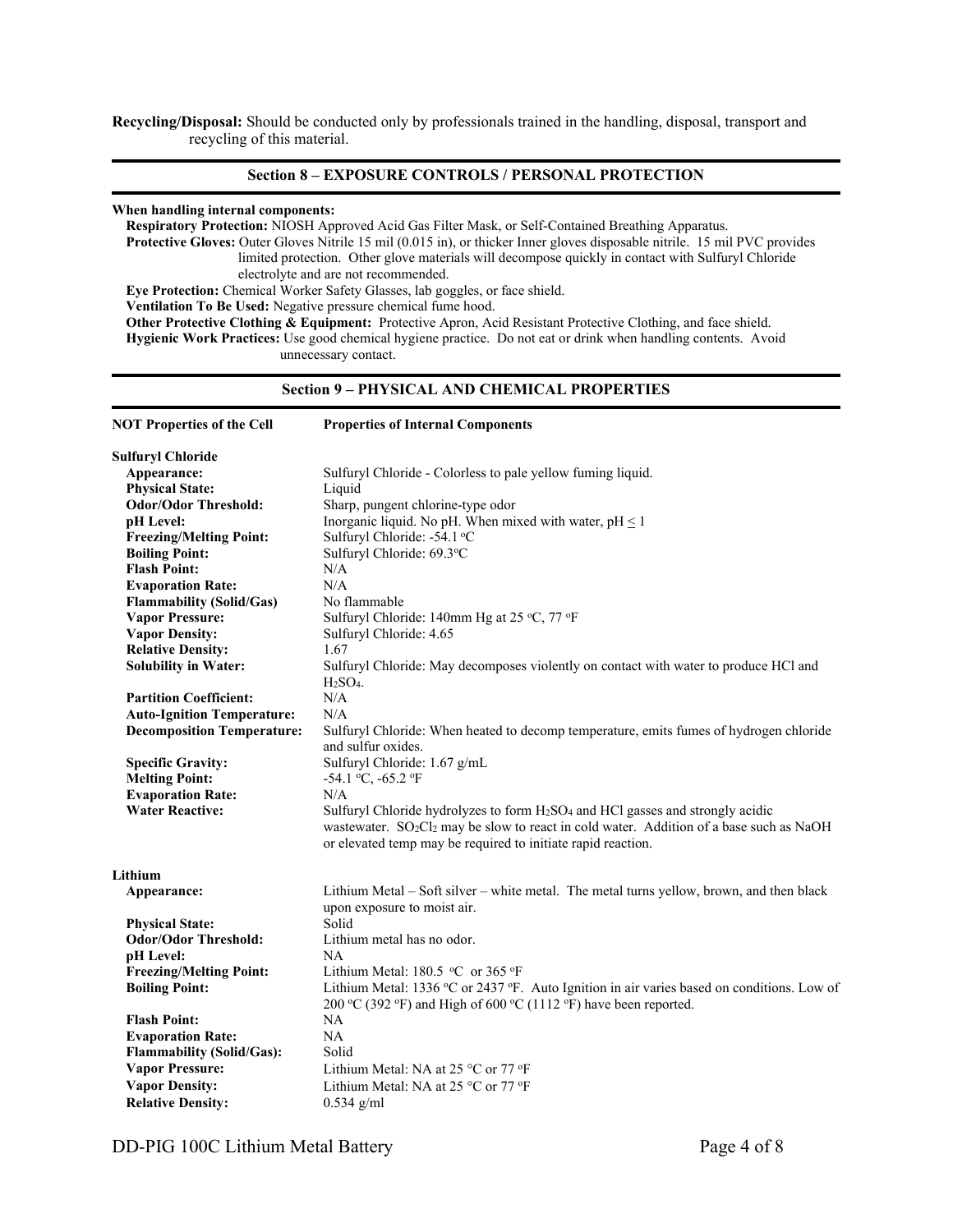Recycling/Disposal: Should be conducted only by professionals trained in the handling, disposal, transport and recycling of this material.

# Section 8 – EXPOSURE CONTROLS / PERSONAL PROTECTION

# When handling internal components:

Respiratory Protection: NIOSH Approved Acid Gas Filter Mask, or Self-Contained Breathing Apparatus. Protective Gloves: Outer Gloves Nitrile 15 mil (0.015 in), or thicker Inner gloves disposable nitrile. 15 mil PVC provides limited protection. Other glove materials will decompose quickly in contact with Sulfuryl Chloride electrolyte and are not recommended. Eye Protection: Chemical Worker Safety Glasses, lab goggles, or face shield. Ventilation To Be Used: Negative pressure chemical fume hood. Other Protective Clothing & Equipment: Protective Apron, Acid Resistant Protective Clothing, and face shield. Hygienic Work Practices: Use good chemical hygiene practice. Do not eat or drink when handling contents. Avoid

unnecessary contact.

# Section 9 – PHYSICAL AND CHEMICAL PROPERTIES

| <b>NOT Properties of the Cell</b> | <b>Properties of Internal Components</b>                                                                                                                                                                                                                             |
|-----------------------------------|----------------------------------------------------------------------------------------------------------------------------------------------------------------------------------------------------------------------------------------------------------------------|
| <b>Sulfuryl Chloride</b>          |                                                                                                                                                                                                                                                                      |
| Appearance:                       | Sulfuryl Chloride - Colorless to pale yellow fuming liquid.                                                                                                                                                                                                          |
| <b>Physical State:</b>            | Liquid                                                                                                                                                                                                                                                               |
| <b>Odor/Odor Threshold:</b>       | Sharp, pungent chlorine-type odor                                                                                                                                                                                                                                    |
| pH Level:                         | Inorganic liquid. No pH. When mixed with water, $pH \le 1$                                                                                                                                                                                                           |
| <b>Freezing/Melting Point:</b>    | Sulfuryl Chloride: -54.1 °C                                                                                                                                                                                                                                          |
| <b>Boiling Point:</b>             | Sulfuryl Chloride: 69.3°C                                                                                                                                                                                                                                            |
| <b>Flash Point:</b>               | N/A                                                                                                                                                                                                                                                                  |
| <b>Evaporation Rate:</b>          | N/A                                                                                                                                                                                                                                                                  |
| <b>Flammability (Solid/Gas)</b>   | No flammable                                                                                                                                                                                                                                                         |
| <b>Vapor Pressure:</b>            | Sulfuryl Chloride: 140mm Hg at 25 °C, 77 °F                                                                                                                                                                                                                          |
| <b>Vapor Density:</b>             | Sulfuryl Chloride: 4.65                                                                                                                                                                                                                                              |
| <b>Relative Density:</b>          | 1.67                                                                                                                                                                                                                                                                 |
| <b>Solubility in Water:</b>       | Sulfuryl Chloride: May decomposes violently on contact with water to produce HCl and<br>$H2SO4$ .                                                                                                                                                                    |
| <b>Partition Coefficient:</b>     | N/A                                                                                                                                                                                                                                                                  |
| <b>Auto-Ignition Temperature:</b> | N/A                                                                                                                                                                                                                                                                  |
| <b>Decomposition Temperature:</b> | Sulfuryl Chloride: When heated to decomp temperature, emits fumes of hydrogen chloride                                                                                                                                                                               |
|                                   | and sulfur oxides.                                                                                                                                                                                                                                                   |
| <b>Specific Gravity:</b>          | Sulfuryl Chloride: 1.67 g/mL                                                                                                                                                                                                                                         |
| <b>Melting Point:</b>             | -54.1 °C, -65.2 °F                                                                                                                                                                                                                                                   |
| <b>Evaporation Rate:</b>          | N/A                                                                                                                                                                                                                                                                  |
| <b>Water Reactive:</b>            | Sulfuryl Chloride hydrolyzes to form $H_2SO_4$ and HCl gasses and strongly acidic<br>wastewater. SO <sub>2</sub> Cl <sub>2</sub> may be slow to react in cold water. Addition of a base such as NaOH<br>or elevated temp may be required to initiate rapid reaction. |
| Lithium                           |                                                                                                                                                                                                                                                                      |
| Appearance:                       | Lithium Metal – Soft silver – white metal. The metal turns yellow, brown, and then black<br>upon exposure to moist air.                                                                                                                                              |
| <b>Physical State:</b>            | Solid                                                                                                                                                                                                                                                                |
| <b>Odor/Odor Threshold:</b>       | Lithium metal has no odor.                                                                                                                                                                                                                                           |
| pH Level:                         | NA                                                                                                                                                                                                                                                                   |
| <b>Freezing/Melting Point:</b>    | Lithium Metal: $180.5$ °C or 365 °F                                                                                                                                                                                                                                  |
| <b>Boiling Point:</b>             | Lithium Metal: 1336 °C or 2437 °F. Auto Ignition in air varies based on conditions. Low of<br>200 °C (392 °F) and High of 600 °C (1112 °F) have been reported.                                                                                                       |
| <b>Flash Point:</b>               | NA                                                                                                                                                                                                                                                                   |
| <b>Evaporation Rate:</b>          | NA                                                                                                                                                                                                                                                                   |
| <b>Flammability (Solid/Gas):</b>  | Solid                                                                                                                                                                                                                                                                |
| <b>Vapor Pressure:</b>            | Lithium Metal: NA at 25 $\degree$ C or 77 $\degree$ F                                                                                                                                                                                                                |
| <b>Vapor Density:</b>             | Lithium Metal: NA at 25 °C or 77 °F                                                                                                                                                                                                                                  |
| <b>Relative Density:</b>          | $0.534$ g/ml                                                                                                                                                                                                                                                         |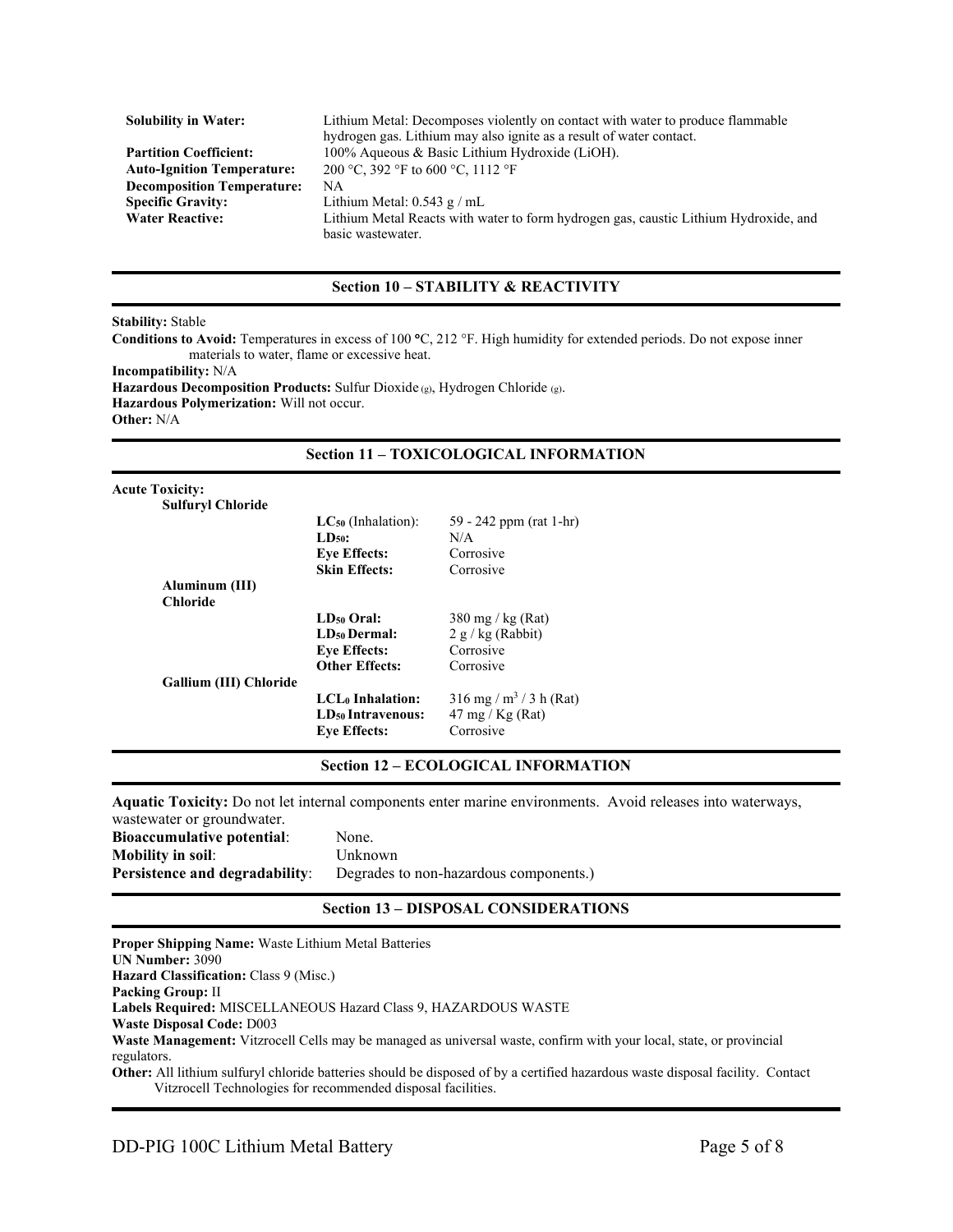| <b>Solubility in Water:</b>       | Lithium Metal: Decomposes violently on contact with water to produce flammable       |
|-----------------------------------|--------------------------------------------------------------------------------------|
|                                   | hydrogen gas. Lithium may also ignite as a result of water contact.                  |
| <b>Partition Coefficient:</b>     | 100% Aqueous & Basic Lithium Hydroxide (LiOH).                                       |
| <b>Auto-Ignition Temperature:</b> | 200 °C, 392 °F to 600 °C, 1112 °F                                                    |
| <b>Decomposition Temperature:</b> | NA                                                                                   |
| <b>Specific Gravity:</b>          | Lithium Metal: $0.543$ g / mL                                                        |
| <b>Water Reactive:</b>            | Lithium Metal Reacts with water to form hydrogen gas, caustic Lithium Hydroxide, and |
|                                   | basic wastewater.                                                                    |

# Section 10 – STABILITY & REACTIVITY

Stability: Stable

Conditions to Avoid: Temperatures in excess of 100 °C, 212 °F. High humidity for extended periods. Do not expose inner materials to water, flame or excessive heat. Incompatibility: N/A Hazardous Decomposition Products: Sulfur Dioxide (g), Hydrogen Chloride (g). Hazardous Polymerization: Will not occur.

Other: N/A

# Section 11 – TOXICOLOGICAL INFORMATION

| <b>Acute Toxicity:</b>   |                               |                                       |
|--------------------------|-------------------------------|---------------------------------------|
| <b>Sulfuryl Chloride</b> |                               |                                       |
|                          | $LC_{50}$ (Inhalation):       | 59 - 242 ppm (rat 1-hr)               |
|                          | $LD50$ :                      | N/A                                   |
|                          | <b>Eye Effects:</b>           | Corrosive                             |
|                          | <b>Skin Effects:</b>          | Corrosive                             |
| Aluminum (III)           |                               |                                       |
| <b>Chloride</b>          |                               |                                       |
|                          | LD <sub>50</sub> Oral:        | $380 \text{ mg}$ / kg (Rat)           |
|                          | LD <sub>50</sub> Dermal:      | 2 g/kg (Rabbit)                       |
|                          | <b>Eye Effects:</b>           | Corrosive                             |
|                          | <b>Other Effects:</b>         | Corrosive                             |
| Gallium (III) Chloride   |                               |                                       |
|                          | $LCL0$ Inhalation:            | $316$ mg / m <sup>3</sup> / 3 h (Rat) |
|                          | LD <sub>50</sub> Intravenous: | $47 \text{ mg} / \text{Kg}$ (Rat)     |
|                          |                               | Corrosive                             |
|                          | <b>Eye Effects:</b>           |                                       |

# Section 12 – ECOLOGICAL INFORMATION

Aquatic Toxicity: Do not let internal components enter marine environments. Avoid releases into waterways,

| wastewater or groundwater.            |                                        |
|---------------------------------------|----------------------------------------|
| <b>Bioaccumulative potential:</b>     | None.                                  |
| <b>Mobility in soil:</b>              | Unknown                                |
| <b>Persistence and degradability:</b> | Degrades to non-hazardous components.) |

# Section 13 – DISPOSAL CONSIDERATIONS

| <b>Proper Shipping Name:</b> Waste Lithium Metal Batteries                                                                            |
|---------------------------------------------------------------------------------------------------------------------------------------|
| <b>UN Number: 3090</b>                                                                                                                |
| <b>Hazard Classification: Class 9 (Misc.)</b>                                                                                         |
| <b>Packing Group: II</b>                                                                                                              |
| Labels Required: MISCELLANEOUS Hazard Class 9, HAZARDOUS WASTE                                                                        |
| <b>Waste Disposal Code: D003</b>                                                                                                      |
| Waste Management: Vitzrocell Cells may be managed as universal waste, confirm with your local, state, or provincial                   |
| regulators.                                                                                                                           |
| <b>Other:</b> All lithium sulfuryl chloride batteries should be disposed of by a certified hazardous waste disposal facility. Contact |
| Vitzrocell Technologies for recommended disposal facilities.                                                                          |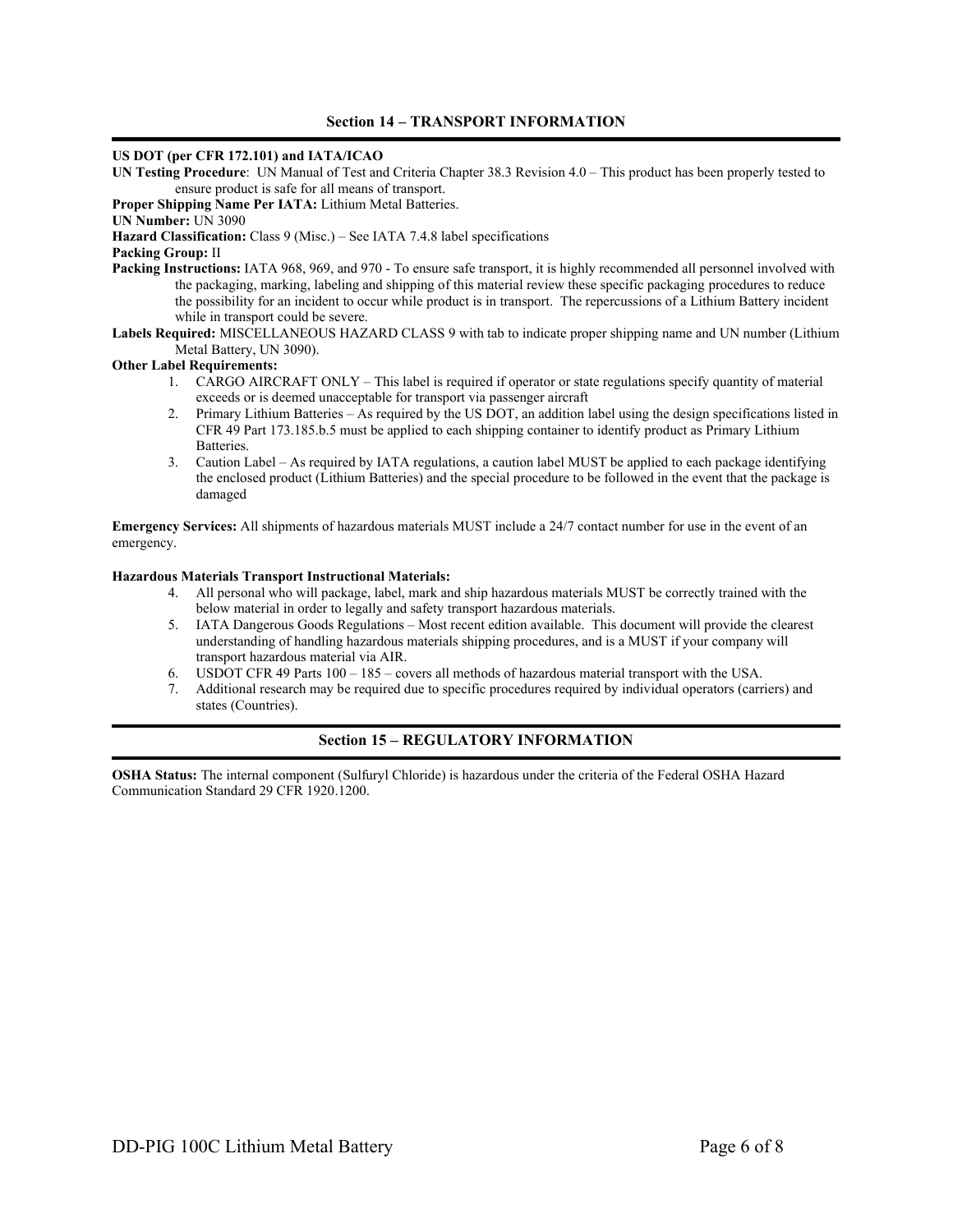# US DOT (per CFR 172.101) and IATA/ICAO

UN Testing Procedure: UN Manual of Test and Criteria Chapter 38.3 Revision 4.0 – This product has been properly tested to ensure product is safe for all means of transport.

Proper Shipping Name Per IATA: Lithium Metal Batteries.

#### UN Number: UN 3090

Hazard Classification: Class 9 (Misc.) – See IATA 7.4.8 label specifications

#### Packing Group: II

Packing Instructions: IATA 968, 969, and 970 - To ensure safe transport, it is highly recommended all personnel involved with the packaging, marking, labeling and shipping of this material review these specific packaging procedures to reduce the possibility for an incident to occur while product is in transport. The repercussions of a Lithium Battery incident while in transport could be severe.

Labels Required: MISCELLANEOUS HAZARD CLASS 9 with tab to indicate proper shipping name and UN number (Lithium Metal Battery, UN 3090).

# Other Label Requirements:

- 1. CARGO AIRCRAFT ONLY This label is required if operator or state regulations specify quantity of material exceeds or is deemed unacceptable for transport via passenger aircraft
- 2. Primary Lithium Batteries As required by the US DOT, an addition label using the design specifications listed in CFR 49 Part 173.185.b.5 must be applied to each shipping container to identify product as Primary Lithium Batteries.
- 3. Caution Label As required by IATA regulations, a caution label MUST be applied to each package identifying the enclosed product (Lithium Batteries) and the special procedure to be followed in the event that the package is damaged

Emergency Services: All shipments of hazardous materials MUST include a 24/7 contact number for use in the event of an emergency.

#### Hazardous Materials Transport Instructional Materials:

- 4. All personal who will package, label, mark and ship hazardous materials MUST be correctly trained with the below material in order to legally and safety transport hazardous materials.
- 5. IATA Dangerous Goods Regulations Most recent edition available. This document will provide the clearest understanding of handling hazardous materials shipping procedures, and is a MUST if your company will transport hazardous material via AIR.
- 6. USDOT CFR 49 Parts 100 185 covers all methods of hazardous material transport with the USA.
- 7. Additional research may be required due to specific procedures required by individual operators (carriers) and states (Countries).

# Section 15 – REGULATORY INFORMATION

OSHA Status: The internal component (Sulfuryl Chloride) is hazardous under the criteria of the Federal OSHA Hazard Communication Standard 29 CFR 1920.1200.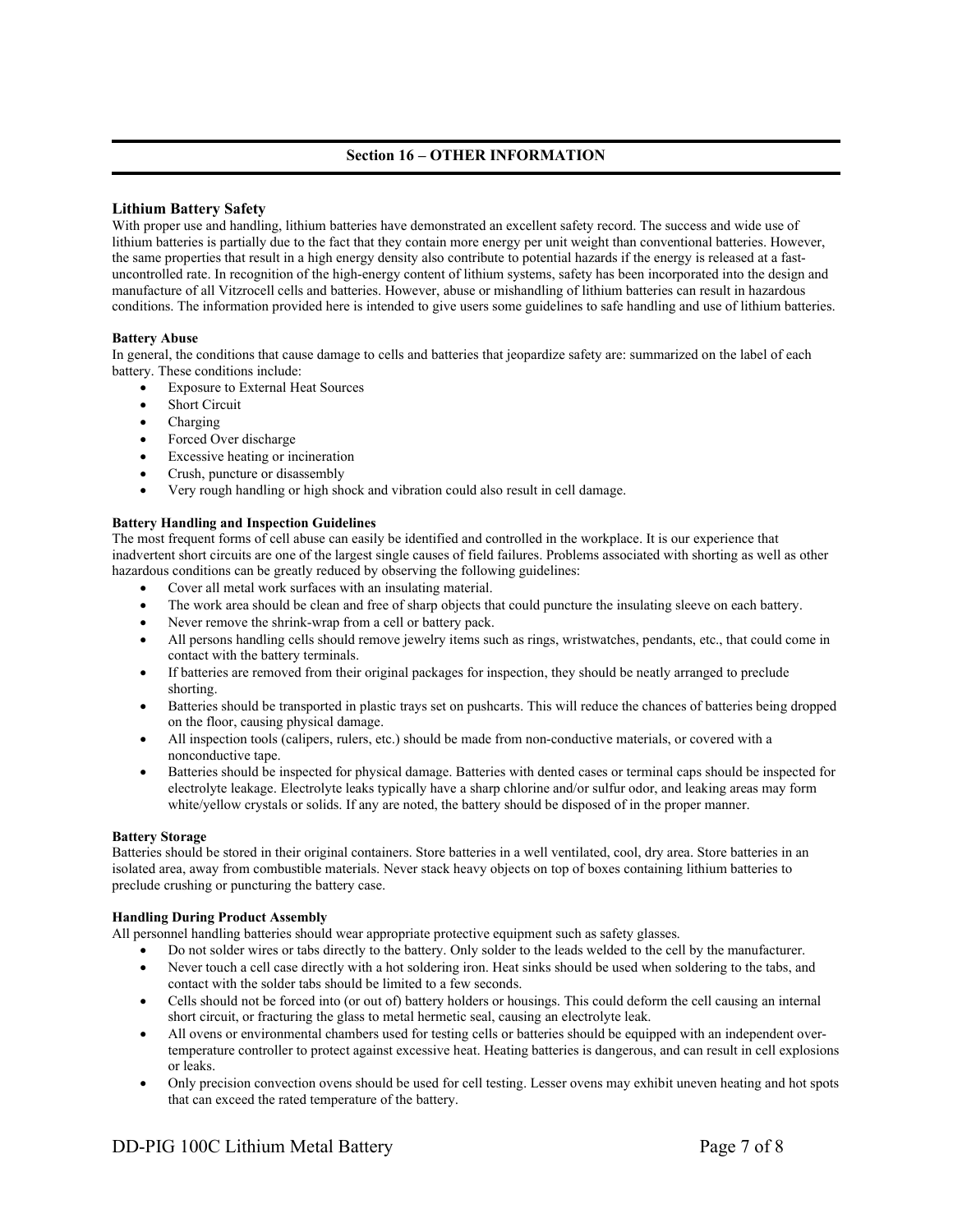# Section 16 – OTHER INFORMATION

# Lithium Battery Safety

With proper use and handling, lithium batteries have demonstrated an excellent safety record. The success and wide use of lithium batteries is partially due to the fact that they contain more energy per unit weight than conventional batteries. However, the same properties that result in a high energy density also contribute to potential hazards if the energy is released at a fastuncontrolled rate. In recognition of the high-energy content of lithium systems, safety has been incorporated into the design and manufacture of all Vitzrocell cells and batteries. However, abuse or mishandling of lithium batteries can result in hazardous conditions. The information provided here is intended to give users some guidelines to safe handling and use of lithium batteries.

# Battery Abuse

In general, the conditions that cause damage to cells and batteries that jeopardize safety are: summarized on the label of each battery. These conditions include:

- Exposure to External Heat Sources
- Short Circuit
- Charging
- Forced Over discharge
- Excessive heating or incineration
- Crush, puncture or disassembly
- Very rough handling or high shock and vibration could also result in cell damage.

#### Battery Handling and Inspection Guidelines

The most frequent forms of cell abuse can easily be identified and controlled in the workplace. It is our experience that inadvertent short circuits are one of the largest single causes of field failures. Problems associated with shorting as well as other hazardous conditions can be greatly reduced by observing the following guidelines:

- Cover all metal work surfaces with an insulating material.
- The work area should be clean and free of sharp objects that could puncture the insulating sleeve on each battery.
- Never remove the shrink-wrap from a cell or battery pack.
- All persons handling cells should remove jewelry items such as rings, wristwatches, pendants, etc., that could come in contact with the battery terminals.
- If batteries are removed from their original packages for inspection, they should be neatly arranged to preclude shorting.
- Batteries should be transported in plastic trays set on pushcarts. This will reduce the chances of batteries being dropped on the floor, causing physical damage.
- All inspection tools (calipers, rulers, etc.) should be made from non-conductive materials, or covered with a nonconductive tape.
- Batteries should be inspected for physical damage. Batteries with dented cases or terminal caps should be inspected for electrolyte leakage. Electrolyte leaks typically have a sharp chlorine and/or sulfur odor, and leaking areas may form white/yellow crystals or solids. If any are noted, the battery should be disposed of in the proper manner.

#### Battery Storage

Batteries should be stored in their original containers. Store batteries in a well ventilated, cool, dry area. Store batteries in an isolated area, away from combustible materials. Never stack heavy objects on top of boxes containing lithium batteries to preclude crushing or puncturing the battery case.

#### Handling During Product Assembly

All personnel handling batteries should wear appropriate protective equipment such as safety glasses.

- Do not solder wires or tabs directly to the battery. Only solder to the leads welded to the cell by the manufacturer.
- Never touch a cell case directly with a hot soldering iron. Heat sinks should be used when soldering to the tabs, and contact with the solder tabs should be limited to a few seconds.
- Cells should not be forced into (or out of) battery holders or housings. This could deform the cell causing an internal short circuit, or fracturing the glass to metal hermetic seal, causing an electrolyte leak.
- All ovens or environmental chambers used for testing cells or batteries should be equipped with an independent overtemperature controller to protect against excessive heat. Heating batteries is dangerous, and can result in cell explosions or leaks.
- Only precision convection ovens should be used for cell testing. Lesser ovens may exhibit uneven heating and hot spots that can exceed the rated temperature of the battery.